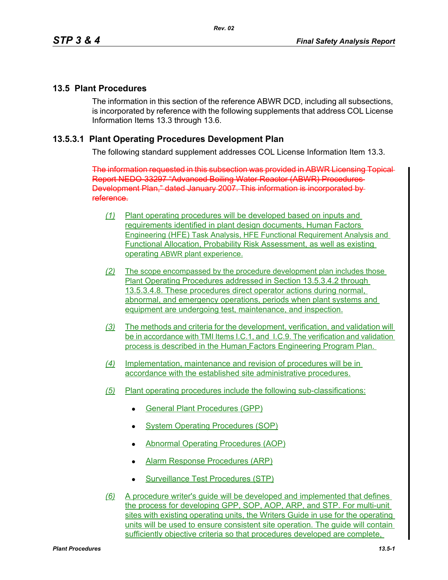### **13.5 Plant Procedures**

The information in this section of the reference ABWR DCD, including all subsections, is incorporated by reference with the following supplements that address COL License Information Items 13.3 through 13.6.

### **13.5.3.1 Plant Operating Procedures Development Plan**

The following standard supplement addresses COL License Information Item 13.3.

The information requested in this subsection was provided in ABWR Licensing Topical Report NEDO-33297 "Advanced Boiling Water Reactor (ABWR) Procedures Development Plan," dated January 2007. This information is incorporated by reference.

- *(1)* Plant operating procedures will be developed based on inputs and requirements identified in plant design documents, Human Factors Engineering (HFE) Task Analysis, HFE Functional Requirement Analysis and Functional Allocation, Probability Risk Assessment, as well as existing operating ABWR plant experience.
- *(2)* The scope encompassed by the procedure development plan includes those Plant Operating Procedures addressed in Section 13.5.3.4.2 through 13.5.3.4.8. These procedures direct operator actions during normal, abnormal, and emergency operations, periods when plant systems and equipment are undergoing test, maintenance, and inspection.
- *(3)* The methods and criteria for the development, verification, and validation will be in accordance with TMI Items I.C.1, and I.C.9. The verification and validation process is described in the Human Factors Engineering Program Plan.
- *(4)* Implementation, maintenance and revision of procedures will be in accordance with the established site administrative procedures.
- *(5)* Plant operating procedures include the following sub-classifications:
	- General Plant Procedures (GPP)
	- System Operating Procedures (SOP)
	- Abnormal Operating Procedures (AOP)
	- Alarm Response Procedures (ARP)
	- Surveillance Test Procedures (STP)
- *(6)* A procedure writer's guide will be developed and implemented that defines the process for developing GPP, SOP, AOP, ARP, and STP. For multi-unit sites with existing operating units, the Writers Guide in use for the operating units will be used to ensure consistent site operation. The guide will contain sufficiently objective criteria so that procedures developed are complete,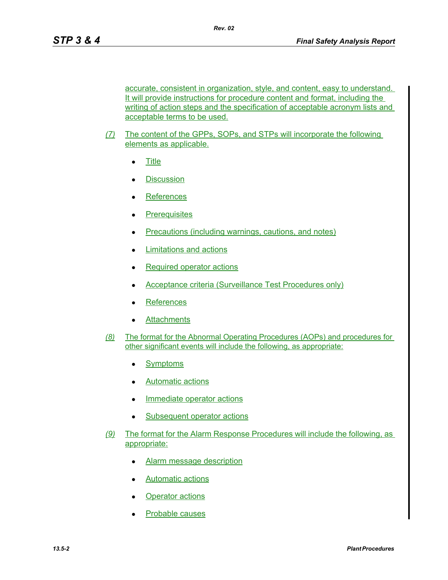accurate, consistent in organization, style, and content, easy to understand. It will provide instructions for procedure content and format, including the writing of action steps and the specification of acceptable acronym lists and acceptable terms to be used.

- *(7)* The content of the GPPs, SOPs, and STPs will incorporate the following elements as applicable.
	- $\bullet$  Title
	- **Discussion**
	- **References**
	- Prerequisites
	- Precautions (including warnings, cautions, and notes)
	- Limitations and actions
	- $\bullet$  Required operator actions
	- Acceptance criteria (Surveillance Test Procedures only)
	- **References**
	- Attachments
- *(8)* The format for the Abnormal Operating Procedures (AOPs) and procedures for other significant events will include the following, as appropriate:
	- Symptoms
	- Automatic actions
	- Immediate operator actions
	- Subsequent operator actions
- *(9)* The format for the Alarm Response Procedures will include the following, as appropriate:
	- Alarm message description
	- Automatic actions
	- **Operator actions**
	- Probable causes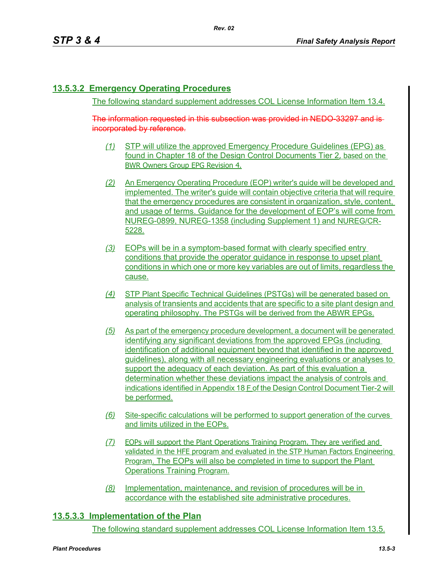# **13.5.3.2 Emergency Operating Procedures**

The following standard supplement addresses COL License Information Item 13.4.

*Rev. 02*

The information requested in this subsection was provided in NEDO-33297 and is incorporated by reference.

- *(1)* STP will utilize the approved Emergency Procedure Guidelines (EPG) as found in Chapter 18 of the Design Control Documents Tier 2, based on the BWR Owners Group EPG Revision 4.
- *(2)* An Emergency Operating Procedure (EOP) writer's guide will be developed and implemented. The writer's guide will contain objective criteria that will require that the emergency procedures are consistent in organization, style, content, and usage of terms. Guidance for the development of EOP's will come from NUREG-0899, NUREG-1358 (including Supplement 1) and NUREG/CR-5228.
- *(3)* EOPs will be in a symptom-based format with clearly specified entry conditions that provide the operator guidance in response to upset plant conditions in which one or more key variables are out of limits, regardless the cause.
- *(4)* STP Plant Specific Technical Guidelines (PSTGs) will be generated based on analysis of transients and accidents that are specific to a site plant design and operating philosophy. The PSTGs will be derived from the ABWR EPGs.
- *(5)* As part of the emergency procedure development, a document will be generated identifying any significant deviations from the approved EPGs (including identification of additional equipment beyond that identified in the approved guidelines), along with all necessary engineering evaluations or analyses to support the adequacy of each deviation. As part of this evaluation a determination whether these deviations impact the analysis of controls and indications identified in Appendix 18 F of the Design Control Document Tier-2 will be performed.
- *(6)* Site-specific calculations will be performed to support generation of the curves and limits utilized in the EOPs.
- *(7)* EOPs will support the Plant Operations Training Program. They are verified and validated in the HFE program and evaluated in the STP Human Factors Engineering Program. The EOPs will also be completed in time to support the Plant Operations Training Program.
- *(8)* Implementation, maintenance, and revision of procedures will be in accordance with the established site administrative procedures.

# **13.5.3.3 Implementation of the Plan**

The following standard supplement addresses COL License Information Item 13.5.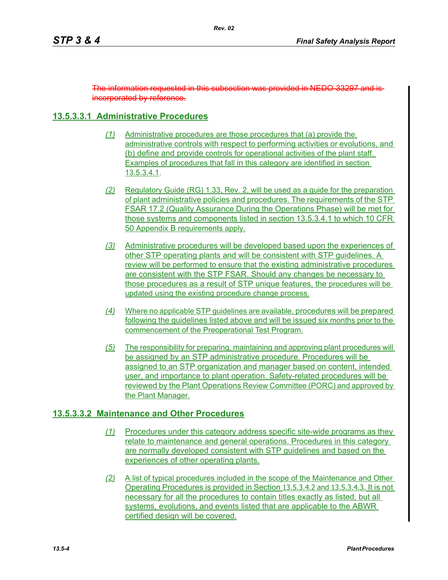The information requested in this subsection was provided in NEDO-33297 and is incorporated by reference.

# **13.5.3.3.1 Administrative Procedures**

- *(1)* Administrative procedures are those procedures that (a) provide the administrative controls with respect to performing activities or evolutions, and (b) define and provide controls for operational activities of the plant staff. Examples of procedures that fall in this category are identified in section 13.5.3.4.1.
- *(2)* Regulatory Guide (RG) 1.33, Rev. 2, will be used as a guide for the preparation of plant administrative policies and procedures. The requirements of the STP FSAR 17.2 (Quality Assurance During the Operations Phase) will be met for those systems and components listed in section 13.5.3.4.1 to which 10 CFR 50 Appendix B requirements apply.
- *(3)* Administrative procedures will be developed based upon the experiences of other STP operating plants and will be consistent with STP guidelines. A review will be performed to ensure that the existing administrative procedures are consistent with the STP FSAR. Should any changes be necessary to those procedures as a result of STP unique features, the procedures will be updated using the existing procedure change process.
- *(4)* Where no applicable STP guidelines are available, procedures will be prepared following the guidelines listed above and will be issued six months prior to the commencement of the Preoperational Test Program.
- *(5)* The responsibility for preparing, maintaining and approving plant procedures will be assigned by an STP administrative procedure. Procedures will be assigned to an STP organization and manager based on content, intended user, and importance to plant operation. Safety-related procedures will be reviewed by the Plant Operations Review Committee (PORC) and approved by the Plant Manager.

# **13.5.3.3.2 Maintenance and Other Procedures**

- *(1)* Procedures under this category address specific site-wide programs as they relate to maintenance and general operations. Procedures in this category are normally developed consistent with STP guidelines and based on the experiences of other operating plants.
- *(2)* A list of typical procedures included in the scope of the Maintenance and Other Operating Procedures is provided in Section 13.5.3.4.2 and 13.5.3.4.3. It is not necessary for all the procedures to contain titles exactly as listed, but all systems, evolutions, and events listed that are applicable to the ABWR certified design will be covered.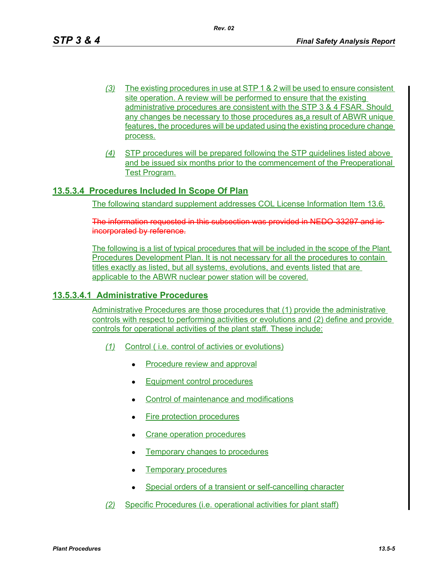- *(3)* The existing procedures in use at STP 1 & 2 will be used to ensure consistent site operation. A review will be performed to ensure that the existing administrative procedures are consistent with the STP 3 & 4 FSAR. Should any changes be necessary to those procedures as a result of ABWR unique features, the procedures will be updated using the existing procedure change process.
- *(4)* STP procedures will be prepared following the STP guidelines listed above and be issued six months prior to the commencement of the Preoperational Test Program.

# **13.5.3.4 Procedures Included In Scope Of Plan**

The following standard supplement addresses COL License Information Item 13.6.

The information requested in this subsection was provided in NEDO-33297 and is incorporated by reference.

The following is a list of typical procedures that will be included in the scope of the Plant Procedures Development Plan. It is not necessary for all the procedures to contain titles exactly as listed, but all systems, evolutions, and events listed that are applicable to the ABWR nuclear power station will be covered.

# **13.5.3.4.1 Administrative Procedures**

Administrative Procedures are those procedures that (1) provide the administrative controls with respect to performing activities or evolutions and (2) define and provide controls for operational activities of the plant staff. These include:

- *(1)* Control ( i.e. control of activies or evolutions)
	- Procedure review and approval
	- **Equipment control procedures**
	- Control of maintenance and modifications
	- Fire protection procedures
	- Crane operation procedures
	- Temporary changes to procedures
	- Temporary procedures
	- Special orders of a transient or self-cancelling character
- *(2)* Specific Procedures (i.e. operational activities for plant staff)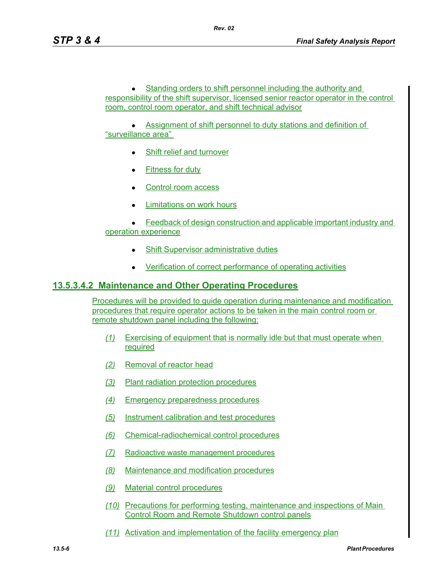• Standing orders to shift personnel including the authority and responsibility of the shift supervisor, licensed senior reactor operator in the control room, control room operator, and shift technical advisor

• Assignment of shift personnel to duty stations and definition of "surveillance area"

- Shift relief and turnover
- $\bullet$  Fitness for duty
- Control room access
- Limitations on work hours

 $\bullet$  Feedback of design construction and applicable important industry and operation experience

- **Shift Supervisor administrative duties**
- Verification of correct performance of operating activities

### **13.5.3.4.2 Maintenance and Other Operating Procedures**

Procedures will be provided to guide operation during maintenance and modification procedures that require operator actions to be taken in the main control room or remote shutdown panel including the following:

- *(1)* Exercising of equipment that is normally idle but that must operate when required
- *(2)* Removal of reactor head
- *(3)* Plant radiation protection procedures
- *(4)* Emergency preparedness procedures
- *(5)* Instrument calibration and test procedures
- *(6)* Chemical-radiochemical control procedures
- *(7)* Radioactive waste management procedures
- *(8)* Maintenance and modification procedures
- *(9)* Material control procedures
- *(10)* Precautions for performing testing, maintenance and inspections of Main Control Room and Remote Shutdown control panels
- *(11)* Activation and implementation of the facility emergency plan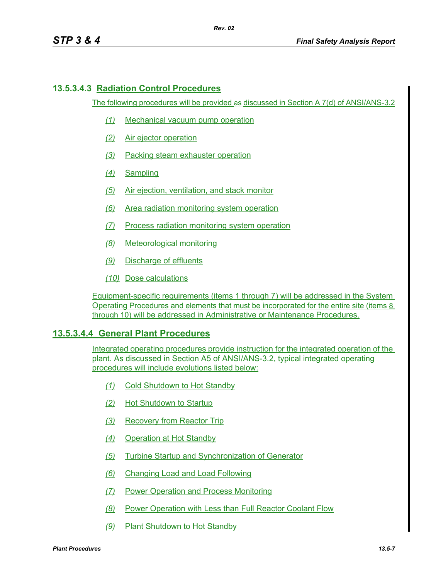### **13.5.3.4.3 Radiation Control Procedures**

The following procedures will be provided as discussed in Section A 7(d) of ANSI/ANS-3.2

- *(1)* Mechanical vacuum pump operation
- *(2)* Air ejector operation
- *(3)* Packing steam exhauster operation
- *(4)* Sampling
- *(5)* Air ejection, ventilation, and stack monitor
- *(6)* Area radiation monitoring system operation
- *(7)* Process radiation monitoring system operation
- *(8)* Meteorological monitoring
- *(9)* Discharge of effluents
- *(10)* Dose calculations

Equipment-specific requirements (items 1 through 7) will be addressed in the System Operating Procedures and elements that must be incorporated for the entire site (items 8 through 10) will be addressed in Administrative or Maintenance Procedures.

#### **13.5.3.4.4 General Plant Procedures**

Integrated operating procedures provide instruction for the integrated operation of the plant. As discussed in Section A5 of ANSI/ANS-3.2, typical integrated operating procedures will include evolutions listed below:

- *(1)* Cold Shutdown to Hot Standby
- *(2)* Hot Shutdown to Startup
- *(3)* Recovery from Reactor Trip
- *(4)* Operation at Hot Standby
- *(5)* Turbine Startup and Synchronization of Generator
- *(6)* Changing Load and Load Following
- *(7)* Power Operation and Process Monitoring
- *(8)* Power Operation with Less than Full Reactor Coolant Flow
- *(9)* Plant Shutdown to Hot Standby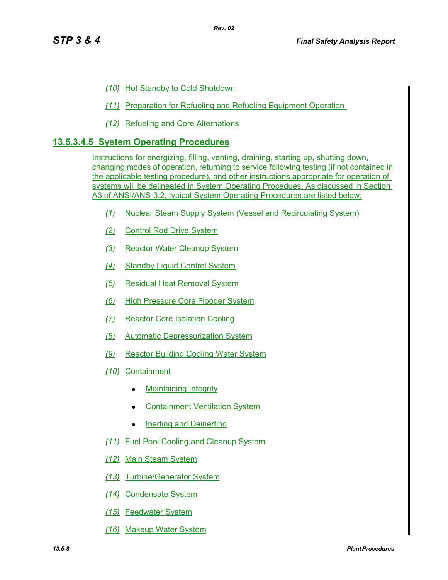- *(10)* Hot Standby to Cold Shutdown
- *(11)* Preparation for Refueling and Refueling Equipment Operation
- *(12)* Refueling and Core Alternations

### **13.5.3.4.5 System Operating Procedures**

Instructions for energizing, filling, venting, draining, starting up, shutting down, changing modes of operation, returning to service following testing (if not contained in the applicable testing procedure), and other instructions appropriate for operation of systems will be delineated in System Operating Procedues. As discussed in Section A3 of ANSI/ANS-3.2, typical System Operating Procedures are listed below:

- *(1)* Nuclear Steam Supply System (Vessel and Recirculating System)
- *(2)* Control Rod Drive System
- *(3)* Reactor Water Cleanup System
- *(4)* Standby Liquid Control System
- *(5)* Residual Heat Removal System
- *(6)* High Pressure Core Flooder System
- *(7)* Reactor Core Isolation Cooling
- *(8)* Automatic Depressurization System
- *(9)* Reactor Building Cooling Water System
- *(10)* Containment
	- **Maintaining Integrity**
	- **Containment Ventilation System**
	- $\bullet$  Inerting and Deinerting
- *(11)* Fuel Pool Cooling and Cleanup System
- *(12)* Main Steam System
- *(13)* Turbine/Generator System
- *(14)* Condensate System
- *(15)* Feedwater System
- *(16)* Makeup Water System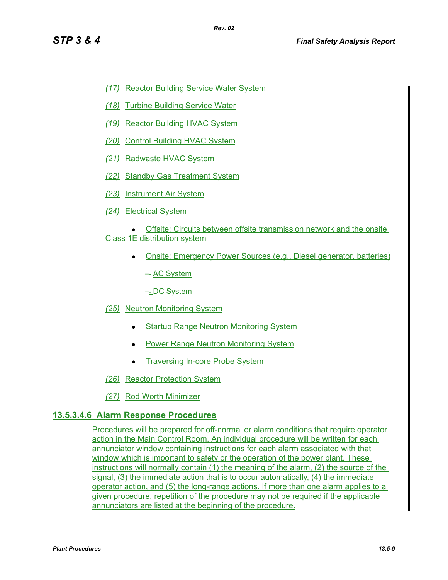- *(17)* Reactor Building Service Water System
- *(18)* Turbine Building Service Water
- *(19)* Reactor Building HVAC System
- *(20)* Control Building HVAC System
- *(21)* Radwaste HVAC System
- *(22)* Standby Gas Treatment System
- *(23)* Instrument Air System
- *(24)* Electrical System
- Offsite: Circuits between offsite transmission network and the onsite Class 1E distribution system
	- Onsite: Emergency Power Sources (e.g., Diesel generator, batteries)

–- AC System

–- DC System

- *(25)* Neutron Monitoring System
	- **Startup Range Neutron Monitoring System**
	- Power Range Neutron Monitoring System
	- Traversing In-core Probe System
- *(26)* Reactor Protection System
- *(27)* Rod Worth Minimizer

# **13.5.3.4.6 Alarm Response Procedures**

Procedures will be prepared for off-normal or alarm conditions that require operator action in the Main Control Room. An individual procedure will be written for each annunciator window containing instructions for each alarm associated with that window which is important to safety or the operation of the power plant. These instructions will normally contain (1) the meaning of the alarm, (2) the source of the signal, (3) the immediate action that is to occur automatically, (4) the immediate operator action, and (5) the long-range actions. If more than one alarm applies to a given procedure, repetition of the procedure may not be required if the applicable annunciators are listed at the beginning of the procedure.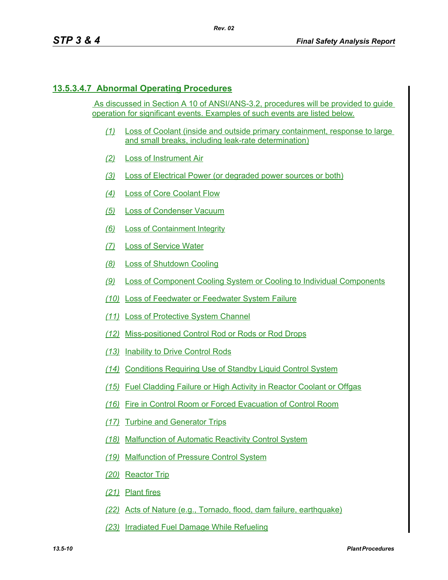# **13.5.3.4.7 Abnormal Operating Procedures**

 As discussed in Section A 10 of ANSI/ANS-3.2, procedures will be provided to guide operation for significant events. Examples of such events are listed below.

- *(1)* Loss of Coolant (inside and outside primary containment, response to large and small breaks, including leak-rate determination)
- *(2)* Loss of Instrument Air
- *(3)* Loss of Electrical Power (or degraded power sources or both)
- *(4)* Loss of Core Coolant Flow
- *(5)* Loss of Condenser Vacuum
- *(6)* Loss of Containment Integrity
- *(7)* Loss of Service Water
- *(8)* Loss of Shutdown Cooling
- *(9)* Loss of Component Cooling System or Cooling to Individual Components
- *(10)* Loss of Feedwater or Feedwater System Failure
- *(11)* Loss of Protective System Channel
- *(12)* Miss-positioned Control Rod or Rods or Rod Drops
- *(13)* Inability to Drive Control Rods
- *(14)* Conditions Requiring Use of Standby Liquid Control System
- *(15)* Fuel Cladding Failure or High Activity in Reactor Coolant or Offgas
- *(16)* Fire in Control Room or Forced Evacuation of Control Room
- *(17)* Turbine and Generator Trips
- *(18)* Malfunction of Automatic Reactivity Control System
- *(19)* Malfunction of Pressure Control System
- *(20)* Reactor Trip
- *(21)* Plant fires
- *(22)* Acts of Nature (e.g., Tornado, flood, dam failure, earthquake)
- *(23)* Irradiated Fuel Damage While Refueling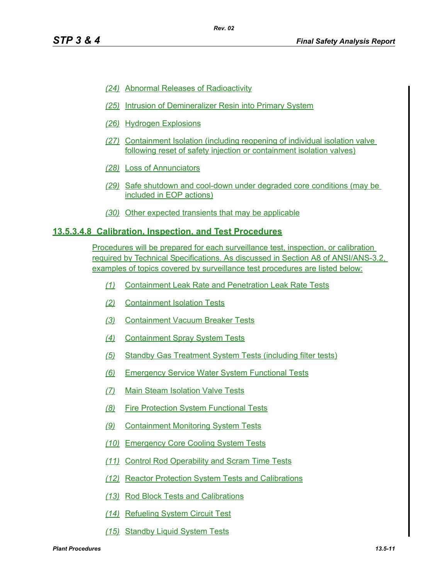- *(24)* Abnormal Releases of Radioactivity
- *(25)* Intrusion of Demineralizer Resin into Primary System
- *(26)* Hydrogen Explosions
- *(27)* Containment Isolation (including reopening of individual isolation valve following reset of safety injection or containment isolation valves)
- *(28)* Loss of Annunciators
- *(29)* Safe shutdown and cool-down under degraded core conditions (may be included in EOP actions)
- *(30)* Other expected transients that may be applicable

#### **13.5.3.4.8 Calibration, Inspection, and Test Procedures**

Procedures will be prepared for each surveillance test, inspection, or calibration required by Technical Specifications. As discussed in Section A8 of ANSI/ANS-3.2, examples of topics covered by surveillance test procedures are listed below:

- *(1)* Containment Leak Rate and Penetration Leak Rate Tests
- *(2)* Containment Isolation Tests
- *(3)* Containment Vacuum Breaker Tests
- *(4)* Containment Spray System Tests
- *(5)* Standby Gas Treatment System Tests (including filter tests)
- *(6)* Emergency Service Water System Functional Tests
- *(7)* Main Steam Isolation Valve Tests
- *(8)* Fire Protection System Functional Tests
- *(9)* Containment Monitoring System Tests
- *(10)* Emergency Core Cooling System Tests
- *(11)* Control Rod Operability and Scram Time Tests
- *(12)* Reactor Protection System Tests and Calibrations
- *(13)* Rod Block Tests and Calibrations
- *(14)* Refueling System Circuit Test
- *(15)* Standby Liquid System Tests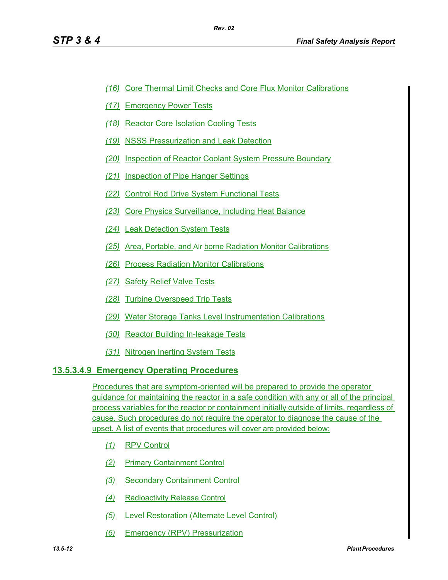- *(16)* Core Thermal Limit Checks and Core Flux Monitor Calibrations
- *(17)* Emergency Power Tests
- *(18)* Reactor Core Isolation Cooling Tests
- *(19)* NSSS Pressurization and Leak Detection
- *(20)* Inspection of Reactor Coolant System Pressure Boundary
- *(21)* Inspection of Pipe Hanger Settings
- *(22)* Control Rod Drive System Functional Tests
- *(23)* Core Physics Surveillance, Including Heat Balance
- *(24)* Leak Detection System Tests
- *(25)* Area, Portable, and Air borne Radiation Monitor Calibrations
- *(26)* Process Radiation Monitor Calibrations
- *(27)* Safety Relief Valve Tests
- *(28)* Turbine Overspeed Trip Tests
- *(29)* Water Storage Tanks Level Instrumentation Calibrations
- *(30)* Reactor Building In-leakage Tests
- *(31)* Nitrogen Inerting System Tests

# **13.5.3.4.9 Emergency Operating Procedures**

Procedures that are symptom-oriented will be prepared to provide the operator guidance for maintaining the reactor in a safe condition with any or all of the principal process variables for the reactor or containment initially outside of limits, regardless of cause. Such procedures do not require the operator to diagnose the cause of the upset. A list of events that procedures will cover are provided below:

- *(1)* RPV Control
- *(2)* Primary Containment Control
- *(3)* Secondary Containment Control
- *(4)* Radioactivity Release Control
- *(5)* Level Restoration (Alternate Level Control)
- *(6)* Emergency (RPV) Pressurization